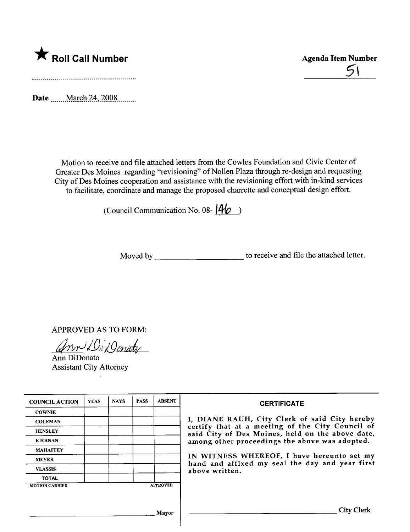

 $5\sqrt{ }$ 

Date \_\_\_\_\_ March 24, 2008 \_\_\_\_\_\_

Motion to receive and fie attached letters from the Cowles Foundation and Civic Center of Greater Des Moines regarding "revisioning" of Nollen Plaza through re-design and requesting City of Des Moines cooperation and assistance with the revisioning effort with in-kind services to facilitate, coordinate and manage the proposed charette and conceptual design effort.

(Council Communication No. 08- $\vert A\vert_0$ )

Moved by to receive and file the attached letter.

APPROVED AS TO FORM:

Ann DiDonate

Ann DiDonato Assistant City Attorney

| <b>COUNCIL ACTION</b> | <b>YEAS</b> | <b>NAYS</b> | <b>PASS</b> | <b>ABSENT</b>   | <b>CERTIFICATE</b><br>I, DIANE RAUH, City Clerk of said City hereby<br>certify that at a meeting of the City Council of<br>said City of Des Moines, held on the above date,<br>among other proceedings the above was adopted.<br>IN WITNESS WHEREOF, I have hereunto set my<br>hand and affixed my seal the day and year first<br>above written. |
|-----------------------|-------------|-------------|-------------|-----------------|--------------------------------------------------------------------------------------------------------------------------------------------------------------------------------------------------------------------------------------------------------------------------------------------------------------------------------------------------|
| <b>COWNIE</b>         |             |             |             |                 |                                                                                                                                                                                                                                                                                                                                                  |
| <b>COLEMAN</b>        |             |             |             |                 |                                                                                                                                                                                                                                                                                                                                                  |
| <b>HENSLEY</b>        |             |             |             |                 |                                                                                                                                                                                                                                                                                                                                                  |
| <b>KIERNAN</b>        |             |             |             |                 |                                                                                                                                                                                                                                                                                                                                                  |
| <b>MAHAFFEY</b>       |             |             |             |                 |                                                                                                                                                                                                                                                                                                                                                  |
| <b>MEYER</b>          |             |             |             |                 |                                                                                                                                                                                                                                                                                                                                                  |
| <b>VLASSIS</b>        |             |             |             |                 |                                                                                                                                                                                                                                                                                                                                                  |
| <b>TOTAL</b>          |             |             |             |                 |                                                                                                                                                                                                                                                                                                                                                  |
| <b>MOTION CARRIED</b> |             |             |             | <b>APPROVED</b> |                                                                                                                                                                                                                                                                                                                                                  |
|                       |             |             |             |                 |                                                                                                                                                                                                                                                                                                                                                  |
|                       |             |             |             |                 |                                                                                                                                                                                                                                                                                                                                                  |
|                       |             |             |             | Mayor           | <b>City Clerk</b>                                                                                                                                                                                                                                                                                                                                |
|                       |             |             |             |                 |                                                                                                                                                                                                                                                                                                                                                  |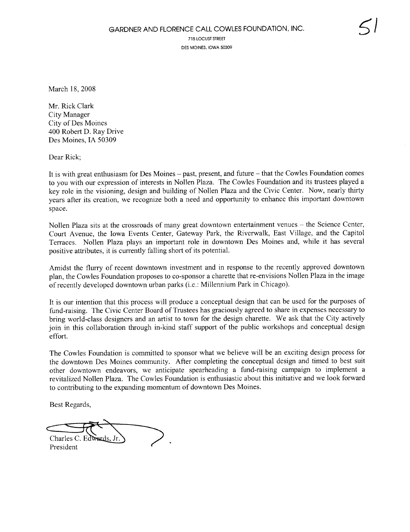715 LOCUST STREET DES MOINES, IOWA 50309

March 18, 2008

Mr. Rick Clark City Manager City of Des Moines 400 Robert D. Ray Drive Des Moines, IA 50309

Dear Rick;

It is with great enthusiasm for Des Moines - past, present, and future - that the Cowles Foundation comes to you with our expression of interests in Nollen Plaza. The Cowles Foundation and its trustees played a key role in the visioning, design and building of Nollen Plaza and the Civic Center. Now, nearly thirty years after its creation, we recognize both a need and opportunity to enhance this important downtown space.

Nollen Plaza sits at the crossroads of many great downtown entertainment venues - the Science Center, Court Avenue, the Iowa Events Center, Gateway Park, the Riverwalk, East Vilage, and the Capitol Terraces. Nollen Plaza plays an important role in downtown Des Moines and, while it has several positive attributes, it is currently falling short of its potentiaL.

Amidst the flurry of recent downtown investment and in response to the recently approved downtown plan, the Cowles Foundation proposes to co-sponsor a charette that re-envisions Nollen Plaza in the image ofrecently developed downtown urban parks (i.e.: Millennium Park in Chicago).

It is our intention that this process will produce a conceptual design that can be used for the purposes of fund-raising. The Civic Center Board of Trustees has graciously agreed to share in expenses necessary to bring world-class designers and an artist to town for the design charette. We ask that the City actively join in this collaboration through in-kind staff support of the public workshops and conceptual design effort.

The Cowles Foundation is committed to sponsor what we believe will be an exciting design process for the downtown Des Moines community. After completing the conceptual design and timed to best suit other downtown endeavors, we anticipate spearheading a fund-raising campaign to implement a revitalized Nollen Plaza. The Cowles Foundation is enthusiastic about this initiative and we look forward to contributing to the expanding momentum of downtown Des Moines.

Best Regards,

Best Regards,<br>Charles C. Edwards, Jr. President  $\bigg\}$